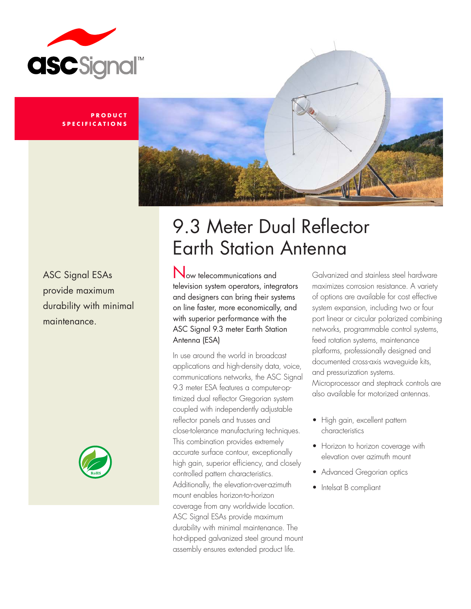

#### **P R O D U C T S P E C I F I C A T I O N S**



ASC Signal ESAs provide maximum durability with minimal maintenance.



# 9.3 Meter Dual Reflector Earth Station Antenna

Now telecommunications and television system operators, integrators and designers can bring their systems on line faster, more economically, and with superior performance with the ASC Signal 9.3 meter Earth Station Antenna (ESA)

In use around the world in broadcast applications and high-density data, voice, communications networks, the ASC Signal 9.3 meter ESA features a computer-optimized dual reflector Gregorian system coupled with independently adjustable reflector panels and trusses and close-tolerance manufacturing techniques. This combination provides extremely accurate surface contour, exceptionally high gain, superior efficiency, and closely controlled pattern characteristics. Additionally, the elevation-over-azimuth mount enables horizon-to-horizon coverage from any worldwide location. ASC Signal ESAs provide maximum durability with minimal maintenance. The hot-dipped galvanized steel ground mount assembly ensures extended product life.

Galvanized and stainless steel hardware maximizes corrosion resistance. A variety of options are available for cost effective system expansion, including two or four port linear or circular polarized combining networks, programmable control systems, feed rotation systems, maintenance platforms, professionally designed and documented cross-axis waveguide kits, and pressurization systems. Microprocessor and steptrack controls are also available for motorized antennas.

- High gain, excellent pattern characteristics
- Horizon to horizon coverage with elevation over azimuth mount
- Advanced Gregorian optics
- Intelsat B compliant